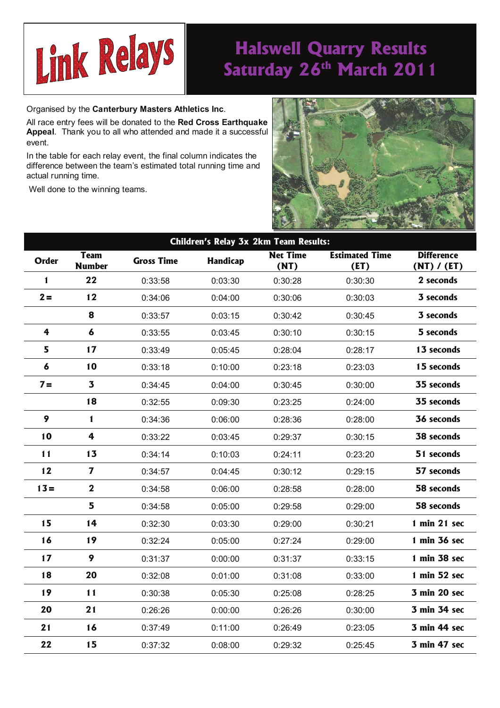

## **Halswell Quarry Results**  Saturday 26<sup>th</sup> March 2011

Organised by the **Canterbury Masters Athletics Inc**.

All race entry fees will be donated to the **Red Cross Earthquake Appeal**. Thank you to all who attended and made it a successful event.

In the table for each relay event, the final column indicates the difference between the team's estimated total running time and actual running time.

Well done to the winning teams.



| Children's Relay 3x 2km Team Results: |                              |                   |          |                         |                               |                                  |  |  |  |  |
|---------------------------------------|------------------------------|-------------------|----------|-------------------------|-------------------------------|----------------------------------|--|--|--|--|
| <b>Order</b>                          | <b>Team</b><br><b>Number</b> | <b>Gross Time</b> | Handicap | <b>Net Time</b><br>(NT) | <b>Estimated Time</b><br>(ET) | <b>Difference</b><br>(NT) / (ET) |  |  |  |  |
| $\mathbf{1}$                          | 22                           | 0:33:58           | 0:03:30  | 0:30:28                 | 0:30:30                       | 2 seconds                        |  |  |  |  |
| $2 =$                                 | 12                           | 0:34:06           | 0:04:00  | 0:30:06                 | 0:30:03                       | 3 seconds                        |  |  |  |  |
|                                       | 8                            | 0:33:57           | 0:03:15  | 0:30:42                 | 0:30:45                       | 3 seconds                        |  |  |  |  |
| 4                                     | $\pmb{6}$                    | 0:33:55           | 0:03:45  | 0:30:10                 | 0:30:15                       | 5 seconds                        |  |  |  |  |
| 5                                     | 17                           | 0:33:49           | 0:05:45  | 0:28:04                 | 0:28:17                       | 13 seconds                       |  |  |  |  |
| 6                                     | 10                           | 0:33:18           | 0:10:00  | 0:23:18                 | 0:23:03                       | 15 seconds                       |  |  |  |  |
| $7 =$                                 | $\overline{\mathbf{3}}$      | 0:34:45           | 0:04:00  | 0:30:45                 | 0:30:00                       | 35 seconds                       |  |  |  |  |
|                                       | 18                           | 0:32:55           | 0:09:30  | 0:23:25                 | 0:24:00                       | 35 seconds                       |  |  |  |  |
| 9                                     | 1                            | 0:34:36           | 0:06:00  | 0:28:36                 | 0:28:00                       | 36 seconds                       |  |  |  |  |
| 10                                    | 4                            | 0:33:22           | 0:03:45  | 0:29:37                 | 0:30:15                       | <b>38 seconds</b>                |  |  |  |  |
| 11                                    | 13                           | 0:34:14           | 0:10:03  | 0:24:11                 | 0:23:20                       | 51 seconds                       |  |  |  |  |
| 12                                    | 7                            | 0:34:57           | 0:04:45  | 0:30:12                 | 0:29:15                       | 57 seconds                       |  |  |  |  |
| $13 =$                                | $\mathbf 2$                  | 0:34:58           | 0:06:00  | 0:28:58                 | 0:28:00                       | 58 seconds                       |  |  |  |  |
|                                       | 5                            | 0:34:58           | 0:05:00  | 0:29:58                 | 0:29:00                       | 58 seconds                       |  |  |  |  |
| 15                                    | 14                           | 0:32:30           | 0:03:30  | 0:29:00                 | 0:30:21                       | 1 min 21 sec                     |  |  |  |  |
| 16                                    | 19                           | 0:32:24           | 0:05:00  | 0:27:24                 | 0:29:00                       | 1 min 36 sec                     |  |  |  |  |
| 17                                    | 9                            | 0:31:37           | 0:00:00  | 0:31:37                 | 0:33:15                       | 1 min 38 sec                     |  |  |  |  |
| 18                                    | 20                           | 0:32:08           | 0:01:00  | 0:31:08                 | 0:33:00                       | 1 min 52 sec                     |  |  |  |  |
| 19                                    | 11                           | 0:30:38           | 0:05:30  | 0:25:08                 | 0:28:25                       | 3 min 20 sec                     |  |  |  |  |
| 20                                    | 21                           | 0:26:26           | 0:00:00  | 0:26:26                 | 0:30:00                       | 3 min 34 sec                     |  |  |  |  |
| 21                                    | 16                           | 0:37:49           | 0:11:00  | 0:26:49                 | 0:23:05                       | 3 min 44 sec                     |  |  |  |  |
| 22                                    | 15                           | 0:37:32           | 0:08:00  | 0:29:32                 | 0:25:45                       | 3 min 47 sec                     |  |  |  |  |